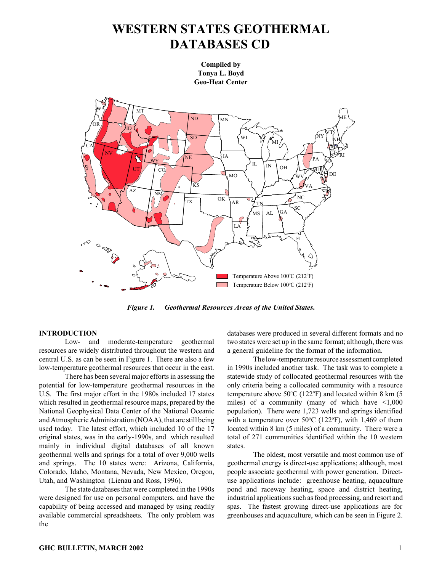# **WESTERN STATES GEOTHERMAL DATABASES CD**

**Compiled by Tonya L. Boyd Geo-Heat Center**



*Figure 1. Geothermal Resources Areas of the United States***.**

## **INTRODUCTION**

Low- and moderate-temperature geothermal resources are widely distributed throughout the western and central U.S. as can be seen in Figure 1. There are also a few low-temperature geothermal resources that occur in the east.

There has been several major efforts in assessing the potential for low-temperature geothermal resources in the U.S. The first major effort in the 1980s included 17 states which resulted in geothermal resource maps, prepared by the National Geophysical Data Center of the National Oceanic and Atmospheric Administration (NOAA), that are still being used today. The latest effort, which included 10 of the 17 original states, was in the early-1990s, and which resulted mainly in individual digital databases of all known geothermal wells and springs for a total of over 9,000 wells and springs. The 10 states were: Arizona, California, Colorado, Idaho, Montana, Nevada, New Mexico, Oregon, Utah, and Washington (Lienau and Ross, 1996).

The state databases that were completed in the 1990s were designed for use on personal computers, and have the capability of being accessed and managed by using readily available commercial spreadsheets. The only problem was the

databases were produced in several different formats and no two states were set up in the same format; although, there was a general guideline for the format of the information.

The low-temperature resource assessment completed in 1990s included another task. The task was to complete a statewide study of collocated geothermal resources with the only criteria being a collocated community with a resource temperature above  $50^{\circ}$ C (122 $^{\circ}$ F) and located within 8 km (5 miles) of a community (many of which have  $\leq 1,000$ population). There were 1,723 wells and springs identified with a temperature over  $50^{\circ}$ C (122<sup>o</sup>F), with 1,469 of them located within 8 km (5 miles) of a community. There were a total of 271 communities identified within the 10 western states.

The oldest, most versatile and most common use of geothermal energy is direct-use applications; although, most people associate geothermal with power generation. Directuse applications include: greenhouse heating, aquaculture pond and raceway heating, space and district heating, industrial applications such as food processing, and resort and spas. The fastest growing direct-use applications are for greenhouses and aquaculture, which can be seen in Figure 2.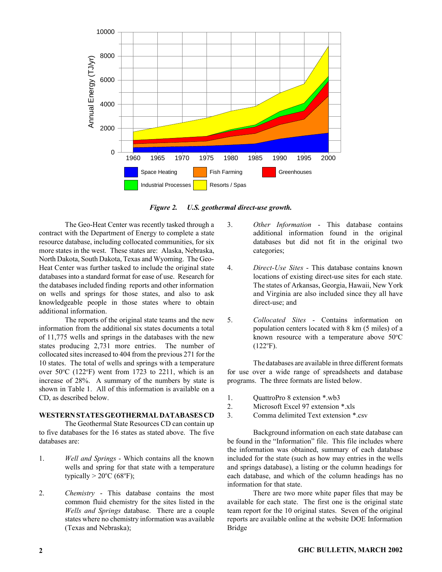

*Figure 2. U.S. geothermal direct-use growth.*

The Geo-Heat Center was recently tasked through a contract with the Department of Energy to complete a state resource database, including collocated communities, for six more states in the west. These states are: Alaska, Nebraska, North Dakota, South Dakota, Texas and Wyoming. The Geo-Heat Center was further tasked to include the original state databases into a standard format for ease of use. Research for the databases included finding reports and other information on wells and springs for those states, and also to ask knowledgeable people in those states where to obtain additional information.

The reports of the original state teams and the new information from the additional six states documents a total of 11,775 wells and springs in the databases with the new states producing 2,731 more entries. The number of collocated sites increased to 404 from the previous 271 for the 10 states. The total of wells and springs with a temperature over  $50^{\circ}$ C (122 $^{\circ}$ F) went from 1723 to 2211, which is an increase of 28%. A summary of the numbers by state is shown in Table 1. All of this information is available on a CD, as described below.

## **WESTERN STATES GEOTHERMAL DATABASES CD**

The Geothermal State Resources CD can contain up to five databases for the 16 states as stated above. The five databases are:

- 1. *Well and Springs* Which contains all the known wells and spring for that state with a temperature typically  $> 20^{\circ}$ C (68 $^{\circ}$ F);
- 2. *Chemistry* This database contains the most common fluid chemistry for the sites listed in the *Wells and Springs* database. There are a couple states where no chemistry information was available (Texas and Nebraska);
- 3. *Other Information* This database contains additional information found in the original databases but did not fit in the original two categories;
- 4. *Direct-Use Sites* This database contains known locations of existing direct-use sites for each state. The states of Arkansas, Georgia, Hawaii, New York and Virginia are also included since they all have direct-use; and
- 5. *Collocated Sites* Contains information on population centers located with 8 km (5 miles) of a known resource with a temperature above  $50^{\circ}$ C  $(122^{\circ}F).$

The databases are available in three different formats for use over a wide range of spreadsheets and database programs. The three formats are listed below.

- 1. QuattroPro 8 extension \*.wb3
- 2. Microsoft Excel 97 extension \*.xls
- 3. Comma delimited Text extension \*.csv

Background information on each state database can be found in the "Information" file. This file includes where the information was obtained, summary of each database included for the state (such as how may entries in the wells and springs database), a listing or the column headings for each database, and which of the column headings has no information for that state.

There are two more white paper files that may be available for each state. The first one is the original state team report for the 10 original states. Seven of the original reports are available online at the website DOE Information Bridge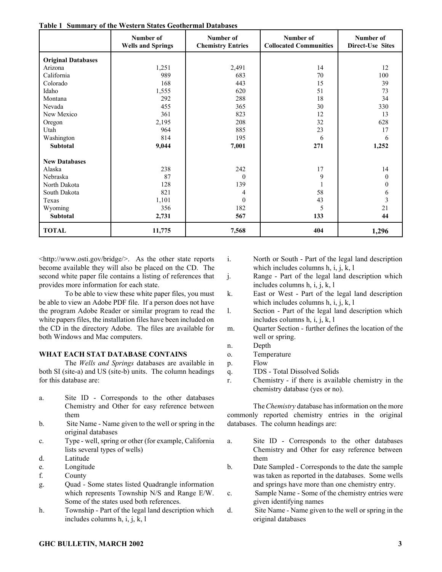|                           | Table 1 Summal y 01 the Western States Geothermal Databases<br>Number of | Number of                | Number of                     | Number of               |
|---------------------------|--------------------------------------------------------------------------|--------------------------|-------------------------------|-------------------------|
|                           | <b>Wells and Springs</b>                                                 | <b>Chemistry Entries</b> | <b>Collocated Communities</b> | <b>Direct-Use Sites</b> |
| <b>Original Databases</b> |                                                                          |                          |                               |                         |
| Arizona                   | 1,251                                                                    | 2,491                    | 14                            | 12                      |
| California                | 989                                                                      | 683                      | 70                            | 100                     |
| Colorado                  | 168                                                                      | 443                      | 15                            | 39                      |
| Idaho                     | 1,555                                                                    | 620                      | 51                            | 73                      |
| Montana                   | 292                                                                      | 288                      | 18                            | 34                      |
| Nevada                    | 455                                                                      | 365                      | 30                            | 330                     |
| New Mexico                | 361                                                                      | 823                      | 12                            | 13                      |
| Oregon                    | 2,195                                                                    | 208                      | 32                            | 628                     |
| Utah                      | 964                                                                      | 885                      | 23                            | 17                      |
| Washington                | 814                                                                      | 195                      | 6                             | 6                       |
| Subtotal                  | 9,044                                                                    | 7,001                    | 271                           | 1,252                   |
| <b>New Databases</b>      |                                                                          |                          |                               |                         |
| Alaska                    | 238                                                                      | 242                      | 17                            | 14                      |
| Nebraska                  | 87                                                                       | $\theta$                 | 9                             | $\mathbf{0}$            |
| North Dakota              | 128                                                                      | 139                      |                               | $\mathbf{0}$            |
| South Dakota              | 821                                                                      | 4                        | 58                            | 6                       |
| Texas                     | 1,101                                                                    | $\mathbf{0}$             | 43                            | 3                       |
| Wyoming                   | 356                                                                      | 182                      | 5                             | 21                      |
| Subtotal                  | 2,731                                                                    | 567                      | 133                           | 44                      |
| <b>TOTAL</b>              | 11,775                                                                   | 7,568                    | 404                           | 1,296                   |

**Table 1 Summary of the Western States Geothermal Databases**

<http://www.osti.gov/bridge/>. As the other state reports become available they will also be placed on the CD. The second white paper file contains a listing of references that provides more information for each state.

To be able to view these white paper files, you must be able to view an Adobe PDF file. If a person does not have the program Adobe Reader or similar program to read the white papers files, the installation files have been included on the CD in the directory Adobe. The files are available for both Windows and Mac computers.

#### **WHAT EACH STAT DATABASE CONTAINS**

The *Wells and Springs* databases are available in both SI (site-a) and US (site-b) units. The column headings for this database are:

- a. Site ID Corresponds to the other databases Chemistry and Other for easy reference between them
- b. Site Name Name given to the well or spring in the original databases
- c. Type well, spring or other (for example, California lists several types of wells)
- d. Latitude
- e. Longitude
- f. County
- g. Quad Some states listed Quadrangle information which represents Township N/S and Range E/W. Some of the states used both references.
- h. Township Part of the legal land description which includes columns h, i, j, k, l
- i. North or South Part of the legal land description which includes columns  $h$ , i, j, k, l
- j. Range Part of the legal land description which includes columns h, i, j, k, l
- k. East or West Part of the legal land description which includes columns h, i, j, k, l
- l. Section Part of the legal land description which includes columns h, i, j, k, l
- m. Quarter Section further defines the location of the well or spring.
- n. Depth
- o. Temperature
- p. Flow
- q. TDS Total Dissolved Solids
- r. Chemistry if there is available chemistry in the chemistry database (yes or no).

The*Chemistry* database has information on the more commonly reported chemistry entries in the original databases. The column headings are:

- a. Site ID Corresponds to the other databases Chemistry and Other for easy reference between them
- b. Date Sampled Corresponds to the date the sample was taken as reported in the databases. Some wells and springs have more than one chemistry entry.
- c. Sample Name Some of the chemistry entries were given identifying names
- d. Site Name Name given to the well or spring in the original databases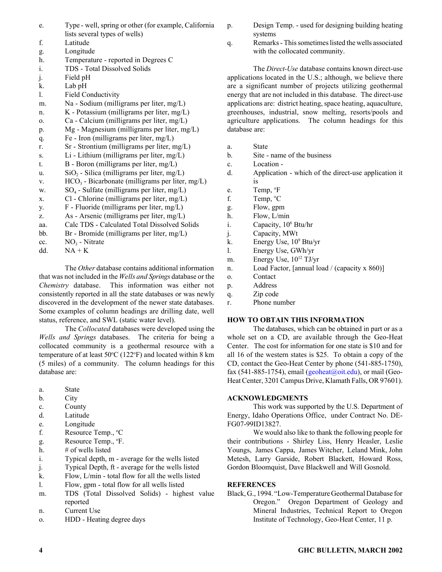- e. Type well, spring or other (for example, California lists several types of wells)
- f. Latitude
- g. Longitude
- h. Temperature reported in Degrees C
- i. TDS Total Dissolved Solids
- j. Field pH
- k. Lab pH
- l. Field Conductivity
- m. Na Sodium (milligrams per liter, mg/L)
- n. K Potassium (milligrams per liter, mg/L)
- o. Ca Calcium (milligrams per liter, mg/L)
- p. Mg Magnesium (milligrams per liter, mg/L)
- q. Fe Iron (milligrams per liter, mg/L)
- r. Sr Strontium (milligrams per liter, mg/L)
- s. Li Lithium (milligrams per liter, mg/L)
- t. B Boron (milligrams per liter, mg/L)
- u.  $SiO<sub>2</sub>$  Silica (milligrams per liter, mg/L)
- v.  $HCO_3$  Bicarbonate (milligrams per liter, mg/L)
- w.  $SO_4$  Sulfate (milligrams per liter, mg/L)
- x. Cl Chlorine (milligrams per liter, mg/L)
- y. F Fluoride (milligrams per liter, mg/L)
- z. As Arsenic (milligrams per liter, mg/L)
- aa. Calc TDS Calculated Total Dissolved Solids
- bb. Br Bromide (milligrams per liter, mg/L)
- cc.  $NO_3$  Nitrate dd.  $NA + K$

The *Other* database contains additional information that was not included in the *Wells and Springs* database or the *Chemistry* database. This information was either not consistently reported in all the state databases or was newly discovered in the development of the newer state databases. Some examples of column headings are drilling date, well status, reference, and SWL (static water level).

The *Collocated* databases were developed using the *Wells and Springs* databases. The criteria for being a collocated community is a geothermal resource with a temperature of at least  $50^{\circ}$ C (122°F) and located within 8 km (5 miles) of a community. The column headings for this database are:

- a. State
- b. City
- c. County
- d. Latitude
- e. Longitude
- f. Resource Temp., <sup>o</sup>C
- g. Resource Temp.,  ${}^{\circ}$ F.
- h.  $\#$  of wells listed
- i. Typical depth, m average for the wells listed
- j. Typical Depth, ft average for the wells listed
- k. Flow, L/min total flow for all the wells listed
- l. Flow, gpm total flow for all wells listed
- m. TDS (Total Dissolved Solids) highest value reported
- n. Current Use
- o. HDD Heating degree days
- p. Design Temp. used for designing building heating systems
- q. Remarks This sometimes listed the wells associated with the collocated community.

The *Direct-Use* database contains known direct-use applications located in the U.S.; although, we believe there are a significant number of projects utilizing geothermal energy that are not included in this database. The direct-use applications are: district heating, space heating, aquaculture, greenhouses, industrial, snow melting, resorts/pools and agriculture applications. The column headings for this database are:

- a. State
- b. Site name of the business
- c. Location -
- d. Application which of the direct-use application it is
- e. Temp, <sup>o</sup>F
- f. Temp,  ${}^{\circ}C$
- g. Flow, gpm
- h. Flow, L/min
- i. Capacity, 10<sup>6</sup> Btu/hr
- j. Capacity, MWt
- k. Energy Use, 10<sup>9</sup> Btu/yr
- l. Energy Use, GWh/yr
- m. Energy Use,  $10^{12}$  TJ/yr
- n. Load Factor, [annual load / (capacity x 860)]
- o. Contact
- p. Address
- q. Zip code
- r. Phone number

## **HOW TO OBTAIN THIS INFORMATION**

The databases, which can be obtained in part or as a whole set on a CD, are available through the Geo-Heat Center. The cost for information for one state is \$10 and for all 16 of the western states is \$25. To obtain a copy of the CD, contact the Geo-Heat Center by phone (541-885-1750), fax (541-885-1754), email [\(geoheat@oit.edu\),](mailto:geoheat@oit.edu) or mail (Geo-Heat Center, 3201 Campus Drive, Klamath Falls, OR 97601).

## **ACKNOWLEDGMENTS**

This work was supported by the U.S. Department of Energy, Idaho Operations Office, under Contract No. DE-FG07-99ID13827.

We would also like to thank the following people for their contributions - Shirley Liss, Henry Heasler, Leslie Youngs, James Cappa, James Witcher, Leland Mink, John Metesh, Larry Garside, Robert Blackett, Howard Ross, Gordon Bloomquist, Dave Blackwell and Will Gosnold.

# **REFERENCES**

Black, G., 1994. "Low-Temperature Geothermal Database for Oregon." Oregon Department of Geology and Mineral Industries, Technical Report to Oregon Institute of Technology, Geo-Heat Center, 11 p.